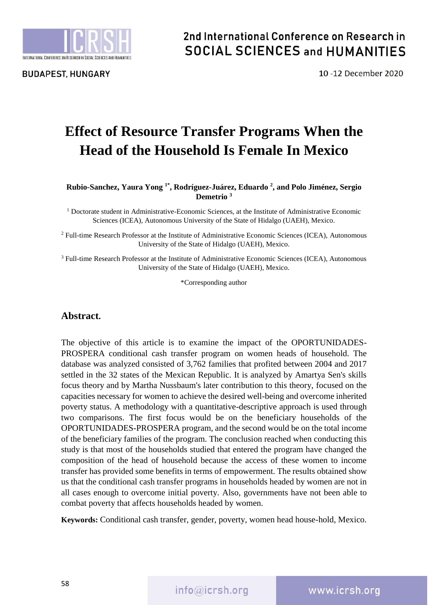

## 2nd International Conference on Research in **SOCIAL SCIENCES and HUMANITIES**

10-12 December 2020

# **Effect of Resource Transfer Programs When the Head of the Household Is Female In Mexico**

#### **Rubio-Sanchez, Yaura Yong 1\* , Rodríguez-Juárez, Eduardo <sup>2</sup> , and Polo Jiménez, Sergio Demetrio <sup>3</sup>**

 $<sup>1</sup>$  Doctorate student in Administrative-Economic Sciences, at the Institute of Administrative Economic</sup> Sciences (ICEA), Autonomous University of the State of Hidalgo (UAEH), Mexico.

<sup>2</sup> Full-time Research Professor at the Institute of Administrative Economic Sciences (ICEA), Autonomous University of the State of Hidalgo (UAEH), Mexico.

<sup>3</sup> Full-time Research Professor at the Institute of Administrative Economic Sciences (ICEA), Autonomous University of the State of Hidalgo (UAEH), Mexico.

\*Corresponding author

#### **Abstract.**

The objective of this article is to examine the impact of the OPORTUNIDADES-PROSPERA conditional cash transfer program on women heads of household. The database was analyzed consisted of 3,762 families that profited between 2004 and 2017 settled in the 32 states of the Mexican Republic. It is analyzed by Amartya Sen's skills focus theory and by Martha Nussbaum's later contribution to this theory, focused on the capacities necessary for women to achieve the desired well-being and overcome inherited poverty status. A methodology with a quantitative-descriptive approach is used through two comparisons. The first focus would be on the beneficiary households of the OPORTUNIDADES-PROSPERA program, and the second would be on the total income of the beneficiary families of the program. The conclusion reached when conducting this study is that most of the households studied that entered the program have changed the composition of the head of household because the access of these women to income transfer has provided some benefits in terms of empowerment. The results obtained show us that the conditional cash transfer programs in households headed by women are not in all cases enough to overcome initial poverty. Also, governments have not been able to combat poverty that affects households headed by women.

**Keywords:** Conditional cash transfer, gender, poverty, women head house-hold, Mexico.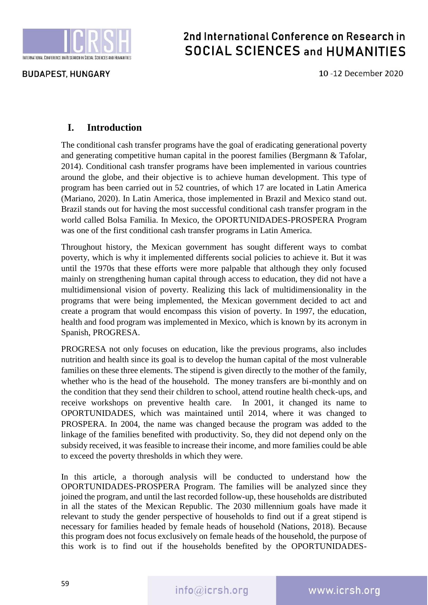

## 2nd International Conference on Research in **SOCIAL SCIENCES and HUMANITIES**

10-12 December 2020

### **I. Introduction**

The conditional cash transfer programs have the goal of eradicating generational poverty and generating competitive human capital in the poorest families (Bergmann & Tafolar, 2014). Conditional cash transfer programs have been implemented in various countries around the globe, and their objective is to achieve human development. This type of program has been carried out in 52 countries, of which 17 are located in Latin America (Mariano, 2020). In Latin America, those implemented in Brazil and Mexico stand out. Brazil stands out for having the most successful conditional cash transfer program in the world called Bolsa Familia. In Mexico, the OPORTUNIDADES-PROSPERA Program was one of the first conditional cash transfer programs in Latin America.

Throughout history, the Mexican government has sought different ways to combat poverty, which is why it implemented differents social policies to achieve it. But it was until the 1970s that these efforts were more palpable that although they only focused mainly on strengthening human capital through access to education, they did not have a multidimensional vision of poverty. Realizing this lack of multidimensionality in the programs that were being implemented, the Mexican government decided to act and create a program that would encompass this vision of poverty. In 1997, the education, health and food program was implemented in Mexico, which is known by its acronym in Spanish, PROGRESA.

PROGRESA not only focuses on education, like the previous programs, also includes nutrition and health since its goal is to develop the human capital of the most vulnerable families on these three elements. The stipend is given directly to the mother of the family, whether who is the head of the household. The money transfers are bi-monthly and on the condition that they send their children to school, attend routine health check-ups, and receive workshops on preventive health care. In 2001, it changed its name to OPORTUNIDADES, which was maintained until 2014, where it was changed to PROSPERA. In 2004, the name was changed because the program was added to the linkage of the families benefited with productivity. So, they did not depend only on the subsidy received, it was feasible to increase their income, and more families could be able to exceed the poverty thresholds in which they were.

In this article, a thorough analysis will be conducted to understand how the OPORTUNIDADES-PROSPERA Program. The families will be analyzed since they joined the program, and until the last recorded follow-up, these households are distributed in all the states of the Mexican Republic. The 2030 millennium goals have made it relevant to study the gender perspective of households to find out if a great stipend is necessary for families headed by female heads of household (Nations, 2018). Because this program does not focus exclusively on female heads of the household, the purpose of this work is to find out if the households benefited by the OPORTUNIDADES-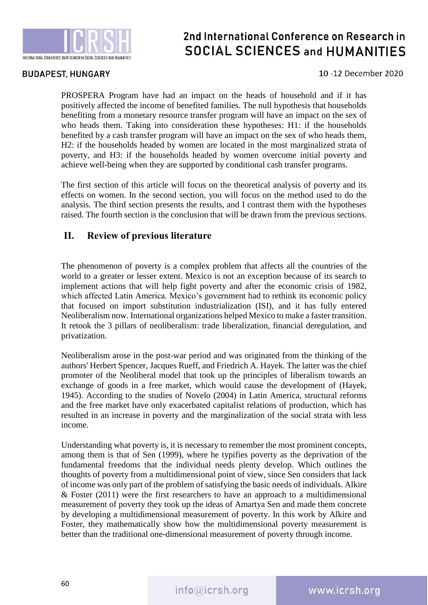

#### **BUDAPEST, HUNGARY**

#### 10-12 December 2020

PROSPERA Program have had an impact on the heads of household and if it has positively affected the income of benefited families. The null hypothesis that households benefiting from a monetary resource transfer program will have an impact on the sex of who heads them. Taking into consideration these hypotheses: H1: if the households benefited by a cash transfer program will have an impact on the sex of who heads them, H2: if the households headed by women are located in the most marginalized strata of poverty, and H3: if the households headed by women overcome initial poverty and achieve well-being when they are supported by conditional cash transfer programs.

The first section of this article will focus on the theoretical analysis of poverty and its effects on women. In the second section, you will focus on the method used to do the analysis. The third section presents the results, and I contrast them with the hypotheses raised. The fourth section is the conclusion that will be drawn from the previous sections.

### **II. Review of previous literature**

The phenomenon of poverty is a complex problem that affects all the countries of the world to a greater or lesser extent. Mexico is not an exception because of its search to implement actions that will help fight poverty and after the economic crisis of 1982, which affected Latin America. Mexico's government had to rethink its economic policy that focused on import substitution industrialization (ISI), and it has fully entered Neoliberalism now. International organizations helped Mexico to make a faster transition. It retook the 3 pillars of neoliberalism: trade liberalization, financial deregulation, and privatization.

Neoliberalism arose in the post-war period and was originated from the thinking of the authors' Herbert Spencer, Jacques Rueff, and Friedrich A. Hayek. The latter was the chief promoter of the Neoliberal model that took up the principles of liberalism towards an exchange of goods in a free market, which would cause the development of (Hayek, 1945). According to the studies of Novelo (2004) in Latin America, structural reforms and the free market have only exacerbated capitalist relations of production, which has resulted in an increase in poverty and the marginalization of the social strata with less income.

Understanding what poverty is, it is necessary to remember the most prominent concepts, among them is that of Sen (1999), where he typifies poverty as the deprivation of the fundamental freedoms that the individual needs plenty develop. Which outlines the thoughts of poverty from a multidimensional point of view, since Sen considers that lack of income was only part of the problem of satisfying the basic needs of individuals. Alkire & Foster (2011) were the first researchers to have an approach to a multidimensional measurement of poverty they took up the ideas of Amartya Sen and made them concrete by developing a multidimensional measurement of poverty. In this work by Alkire and Foster, they mathematically show how the multidimensional poverty measurement is better than the traditional one-dimensional measurement of poverty through income.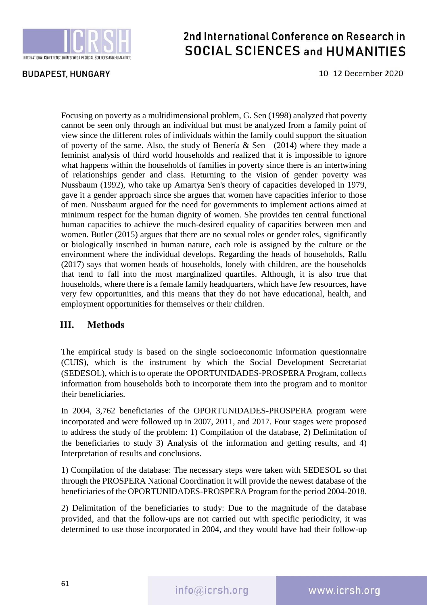

## 2nd International Conference on Research in **SOCIAL SCIENCES and HUMANITIES**

10-12 December 2020

Focusing on poverty as a multidimensional problem, G. Sen (1998) analyzed that poverty cannot be seen only through an individual but must be analyzed from a family point of view since the different roles of individuals within the family could support the situation of poverty of the same. Also, the study of Benería  $\&$  Sen (2014) where they made a feminist analysis of third world households and realized that it is impossible to ignore what happens within the households of families in poverty since there is an intertwining of relationships gender and class. Returning to the vision of gender poverty was Nussbaum (1992), who take up Amartya Sen's theory of capacities developed in 1979, gave it a gender approach since she argues that women have capacities inferior to those of men. Nussbaum argued for the need for governments to implement actions aimed at minimum respect for the human dignity of women. She provides ten central functional human capacities to achieve the much-desired equality of capacities between men and women. Butler (2015) argues that there are no sexual roles or gender roles, significantly or biologically inscribed in human nature, each role is assigned by the culture or the environment where the individual develops. Regarding the heads of households, Rallu (2017) says that women heads of households, lonely with children, are the households that tend to fall into the most marginalized quartiles. Although, it is also true that households, where there is a female family headquarters, which have few resources, have very few opportunities, and this means that they do not have educational, health, and employment opportunities for themselves or their children.

### **III. Methods**

The empirical study is based on the single socioeconomic information questionnaire (CUIS), which is the instrument by which the Social Development Secretariat (SEDESOL), which is to operate the OPORTUNIDADES-PROSPERA Program, collects information from households both to incorporate them into the program and to monitor their beneficiaries.

In 2004, 3,762 beneficiaries of the OPORTUNIDADES-PROSPERA program were incorporated and were followed up in 2007, 2011, and 2017. Four stages were proposed to address the study of the problem: 1) Compilation of the database, 2) Delimitation of the beneficiaries to study 3) Analysis of the information and getting results, and 4) Interpretation of results and conclusions.

1) Compilation of the database: The necessary steps were taken with SEDESOL so that through the PROSPERA National Coordination it will provide the newest database of the beneficiaries of the OPORTUNIDADES-PROSPERA Program for the period 2004-2018.

2) Delimitation of the beneficiaries to study: Due to the magnitude of the database provided, and that the follow-ups are not carried out with specific periodicity, it was determined to use those incorporated in 2004, and they would have had their follow-up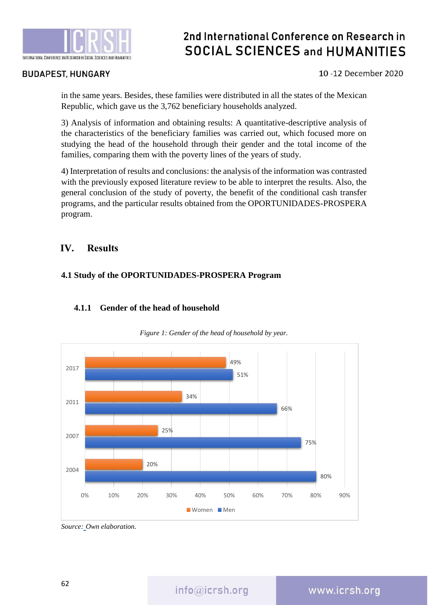

#### **BUDAPEST, HUNGARY**

#### 10-12 December 2020

in the same years. Besides, these families were distributed in all the states of the Mexican Republic, which gave us the 3,762 beneficiary households analyzed.

3) Analysis of information and obtaining results: A quantitative-descriptive analysis of the characteristics of the beneficiary families was carried out, which focused more on studying the head of the household through their gender and the total income of the families, comparing them with the poverty lines of the years of study.

4) Interpretation of results and conclusions: the analysis of the information was contrasted with the previously exposed literature review to be able to interpret the results. Also, the general conclusion of the study of poverty, the benefit of the conditional cash transfer programs, and the particular results obtained from the OPORTUNIDADES-PROSPERA program.

#### **IV. Results**

#### **4.1 Study of the OPORTUNIDADES-PROSPERA Program**



#### **4.1.1 Gender of the head of household**

*Figure 1: Gender of the head of household by year.*

*Source: Own elaboration.*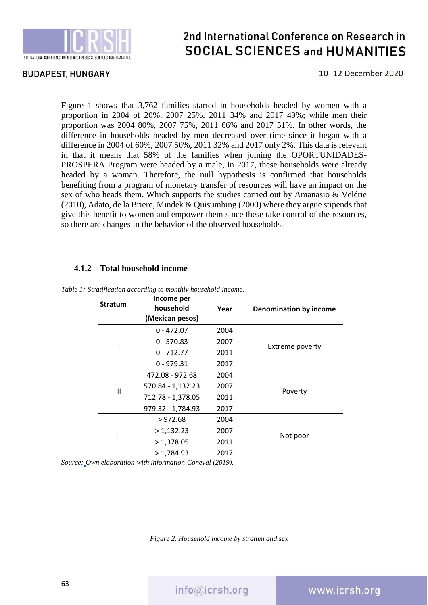

#### **BUDAPEST, HUNGARY**

10-12 December 2020

Figure 1 shows that 3,762 families started in households headed by women with a proportion in 2004 of 20%, 2007 25%, 2011 34% and 2017 49%; while men their proportion was 2004 80%, 2007 75%, 2011 66% and 2017 51%. In other words, the difference in households headed by men decreased over time since it began with a difference in 2004 of 60%, 2007 50%, 2011 32% and 2017 only 2%. This data is relevant in that it means that 58% of the families when joining the OPORTUNIDADES-PROSPERA Program were headed by a male, in 2017, these households were already headed by a woman. Therefore, the null hypothesis is confirmed that households benefiting from a program of monetary transfer of resources will have an impact on the sex of who heads them. Which supports the studies carried out by Amanasio & Velérie (2010), Adato, de la Briere, Mindek & Quisumbing (2000) where they argue stipends that give this benefit to women and empower them since these take control of the resources, so there are changes in the behavior of the observed households.

#### **4.1.2 Total household income**

| <b>Stratum</b> | Income per<br>household<br>(Mexican pesos) | Year | <b>Denomination by income</b> |
|----------------|--------------------------------------------|------|-------------------------------|
| ı              | $0 - 472.07$                               | 2004 | <b>Extreme poverty</b>        |
|                | $0 - 570.83$                               | 2007 |                               |
|                | $0 - 712.77$                               | 2011 |                               |
|                | $0 - 979.31$                               | 2017 |                               |
| Ш              | 472.08 - 972.68                            | 2004 | Poverty                       |
|                | 570.84 - 1,132.23                          | 2007 |                               |
|                | 712.78 - 1,378.05                          | 2011 |                               |
|                | 979.32 - 1,784.93                          | 2017 |                               |
| Ш              | >972.68                                    | 2004 | Not poor                      |
|                | > 1,132.23                                 | 2007 |                               |
|                | >1,378.05                                  | 2011 |                               |
|                | >1,784.93                                  | 2017 |                               |

*Table 1: Stratification according to monthly household income.*

*Source: Own elaboration with information Coneval (2019).*

*Figure 2. Household income by stratum and sex*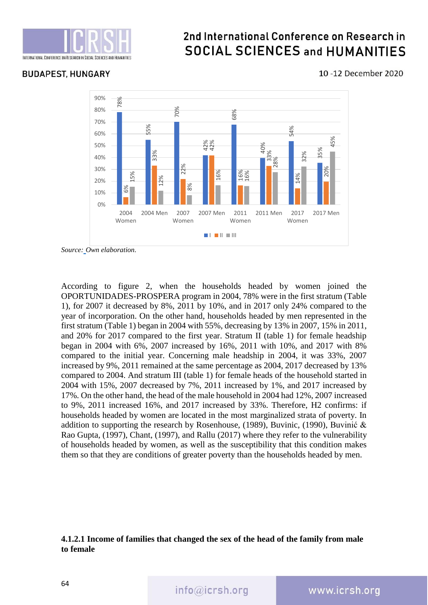

### **BUDAPEST, HUNGARY**

#### 10-12 December 2020



*Source: Own elaboration.*

According to figure 2, when the households headed by women joined the OPORTUNIDADES-PROSPERA program in 2004, 78% were in the first stratum (Table 1), for 2007 it decreased by 8%, 2011 by 10%, and in 2017 only 24% compared to the year of incorporation. On the other hand, households headed by men represented in the first stratum (Table 1) began in 2004 with 55%, decreasing by 13% in 2007, 15% in 2011, and 20% for 2017 compared to the first year. Stratum II (table 1) for female headship began in 2004 with 6%, 2007 increased by 16%, 2011 with 10%, and 2017 with 8% compared to the initial year. Concerning male headship in 2004, it was 33%, 2007 increased by 9%, 2011 remained at the same percentage as 2004, 2017 decreased by 13% compared to 2004. And stratum III (table 1) for female heads of the household started in 2004 with 15%, 2007 decreased by 7%, 2011 increased by 1%, and 2017 increased by 17%. On the other hand, the head of the male household in 2004 had 12%, 2007 increased to 9%, 2011 increased 16%, and 2017 increased by 33%. Therefore, H2 confirms: if households headed by women are located in the most marginalized strata of poverty. In addition to supporting the research by Rosenhouse, (1989), Buvinic, (1990), Buvinić & Rao Gupta, (1997), Chant, (1997), and Rallu (2017) where they refer to the vulnerability of households headed by women, as well as the susceptibility that this condition makes them so that they are conditions of greater poverty than the households headed by men.

#### **4.1.2.1 Income of families that changed the sex of the head of the family from male to female**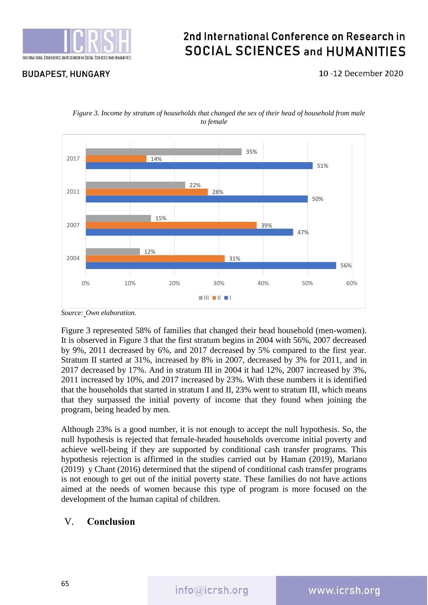

### **BUDAPEST, HUNGARY**

10-12 December 2020





Figure 3 represented 58% of families that changed their head household (men-women). It is observed in Figure 3 that the first stratum begins in 2004 with 56%, 2007 decreased by 9%, 2011 decreased by 6%, and 2017 decreased by 5% compared to the first year. Stratum II started at 31%, increased by 8% in 2007, decreased by 3% for 2011, and in 2017 decreased by 17%. And in stratum III in 2004 it had 12%, 2007 increased by 3%, 2011 increased by 10%, and 2017 increased by 23%. With these numbers it is identified that the households that started in stratum I and II, 23% went to stratum III, which means that they surpassed the initial poverty of income that they found when joining the program, being headed by men.

Although 23% is a good number, it is not enough to accept the null hypothesis. So, the null hypothesis is rejected that female-headed households overcome initial poverty and achieve well-being if they are supported by conditional cash transfer programs. This hypothesis rejection is affirmed in the studies carried out by Haman (2019), Mariano (2019) y Chant (2016) determined that the stipend of conditional cash transfer programs is not enough to get out of the initial poverty state. These families do not have actions aimed at the needs of women because this type of program is more focused on the development of the human capital of children.

### V. **Conclusion**

*Source: Own elaboration.*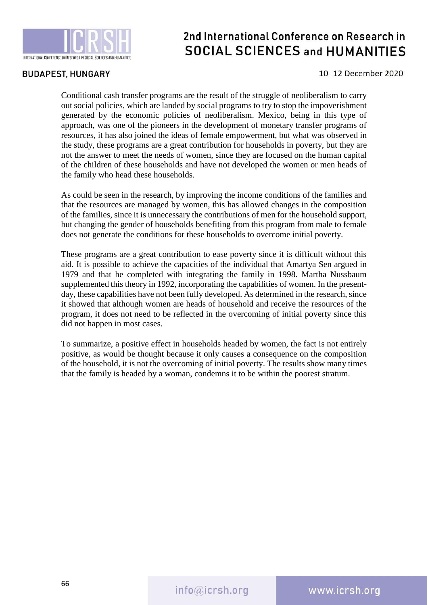

#### **BUDAPEST, HUNGARY**

#### 10-12 December 2020

Conditional cash transfer programs are the result of the struggle of neoliberalism to carry out social policies, which are landed by social programs to try to stop the impoverishment generated by the economic policies of neoliberalism. Mexico, being in this type of approach, was one of the pioneers in the development of monetary transfer programs of resources, it has also joined the ideas of female empowerment, but what was observed in the study, these programs are a great contribution for households in poverty, but they are not the answer to meet the needs of women, since they are focused on the human capital of the children of these households and have not developed the women or men heads of the family who head these households.

As could be seen in the research, by improving the income conditions of the families and that the resources are managed by women, this has allowed changes in the composition of the families, since it is unnecessary the contributions of men for the household support, but changing the gender of households benefiting from this program from male to female does not generate the conditions for these households to overcome initial poverty.

These programs are a great contribution to ease poverty since it is difficult without this aid. It is possible to achieve the capacities of the individual that Amartya Sen argued in 1979 and that he completed with integrating the family in 1998. Martha Nussbaum supplemented this theory in 1992, incorporating the capabilities of women. In the presentday, these capabilities have not been fully developed. As determined in the research, since it showed that although women are heads of household and receive the resources of the program, it does not need to be reflected in the overcoming of initial poverty since this did not happen in most cases.

To summarize, a positive effect in households headed by women, the fact is not entirely positive, as would be thought because it only causes a consequence on the composition of the household, it is not the overcoming of initial poverty. The results show many times that the family is headed by a woman, condemns it to be within the poorest stratum.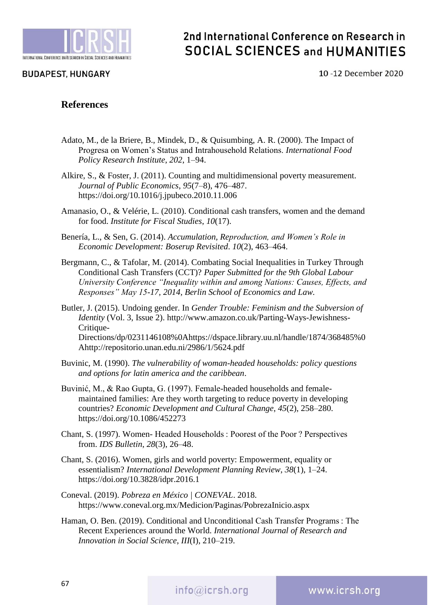

## 2nd International Conference on Research in **SOCIAL SCIENCES and HUMANITIES**

10-12 December 2020

#### **References**

- Adato, M., de la Briere, B., Mindek, D., & Quisumbing, A. R. (2000). The Impact of Progresa on Women's Status and Intrahousehold Relations. *International Food Policy Research Institute*, *202*, 1–94.
- Alkire, S., & Foster, J. (2011). Counting and multidimensional poverty measurement. *Journal of Public Economics*, *95*(7–8), 476–487. https://doi.org/10.1016/j.jpubeco.2010.11.006
- Amanasio, O., & Velérie, L. (2010). Conditional cash transfers, women and the demand for food. *Institute for Fiscal Studies*, *10*(17).
- Benería, L., & Sen, G. (2014). *Accumulation, Reproduction, and Women's Role in Economic Development: Boserup Revisited*. *10*(2), 463–464.
- Bergmann, C., & Tafolar, M. (2014). Combating Social Inequalities in Turkey Through Conditional Cash Transfers (CCT)? *Paper Submitted for the 9th Global Labour University Conference "Inequality within and among Nations: Causes, Effects, and Responses" May 15-17, 2014, Berlin School of Economics and Law.*
- Butler, J. (2015). Undoing gender. In *Gender Trouble: Feminism and the Subversion of Identity* (Vol. 3, Issue 2). http://www.amazon.co.uk/Parting-Ways-Jewishness-Critique-Directions/dp/0231146108%0Ahttps://dspace.library.uu.nl/handle/1874/368485%0 Ahttp://repositorio.unan.edu.ni/2986/1/5624.pdf
- Buvinic, M. (1990). *The vulnerability of woman-headed households: policy questions and options for latin america and the caribbean*.
- Buvinić, M., & Rao Gupta, G. (1997). Female-headed households and femalemaintained families: Are they worth targeting to reduce poverty in developing countries? *Economic Development and Cultural Change*, *45*(2), 258–280. https://doi.org/10.1086/452273
- Chant, S. (1997). Women- Headed Households : Poorest of the Poor ? Perspectives from. *IDS Bulletin*, *28*(3), 26–48.
- Chant, S. (2016). Women, girls and world poverty: Empowerment, equality or essentialism? *International Development Planning Review*, *38*(1), 1–24. https://doi.org/10.3828/idpr.2016.1
- Coneval. (2019). *Pobreza en México | CONEVAL*. 2018. https://www.coneval.org.mx/Medicion/Paginas/PobrezaInicio.aspx
- Haman, O. Ben. (2019). Conditional and Unconditional Cash Transfer Programs : The Recent Experiences around the World. *International Journal of Research and Innovation in Social Science*, *III*(I), 210–219.